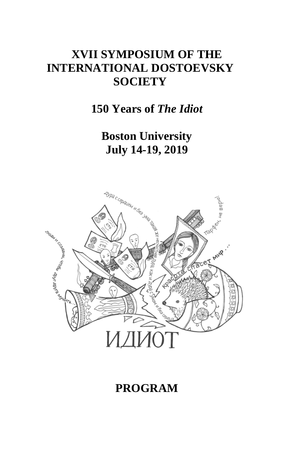# **XVII SYMPOSIUM OF THE INTERNATIONAL DOSTOEVSKY SOCIETY**

**150 Years of** *The Idiot* 

**Boston University July 14-19, 2019**



# **PROGRAM**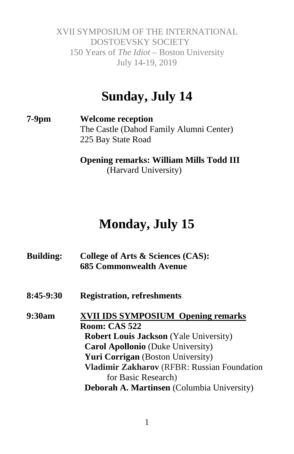# **Sunday, July 14**

**7-9pm Welcome reception** The Castle (Dahod Family Alumni Center) 225 Bay State Road

> **Opening remarks: William Mills Todd III** (Harvard University)

# **Monday, July 15**

| College of Arts & Sciences (CAS):<br><b>685 Commonwealth Avenue</b> |
|---------------------------------------------------------------------|
| <b>Registration, refreshments</b>                                   |
| <b>XVII IDS SYMPOSIUM Opening remarks</b>                           |
| <b>Room: CAS 522</b>                                                |
| <b>Robert Louis Jackson</b> (Yale University)                       |
| <b>Carol Apollonio</b> (Duke University)                            |
| <b>Yuri Corrigan</b> (Boston University)                            |
| Vladimir Zakharov (RFBR: Russian Foundation                         |
| for Basic Research)                                                 |
| Deborah A. Martinsen (Columbia University)                          |
|                                                                     |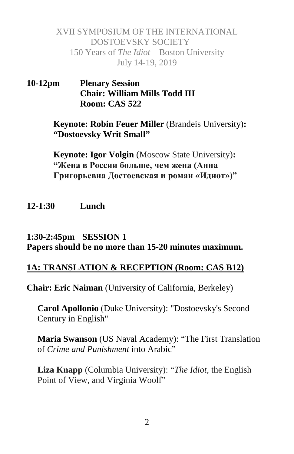**10-12pm Plenary Session Chair: William Mills Todd III Room: CAS 522**

> **Keynote: Robin Feuer Miller** (Brandeis University)**: "Dostoevsky Writ Small"**

**Keynote: Igor Volgin** (Moscow State University)**: "Жена в России больше, чем жена (Анна Григорьевна Достоевская и роман «Идиот»)"**

#### **12-1:30 Lunch**

#### **1:30-2:45pm SESSION 1 Papers should be no more than 15-20 minutes maximum.**

#### **1A: TRANSLATION & RECEPTION (Room: CAS B12)**

**Chair: Eric Naiman** (University of California, Berkeley)

**Carol Apollonio** (Duke University): "Dostoevsky's Second Century in English"

**Maria Swanson** (US Naval Academy): "The First Translation of *Crime and Punishment* into Arabic"

**Liza Knapp** (Columbia University): "*The Idiot*, the English Point of View, and Virginia Woolf"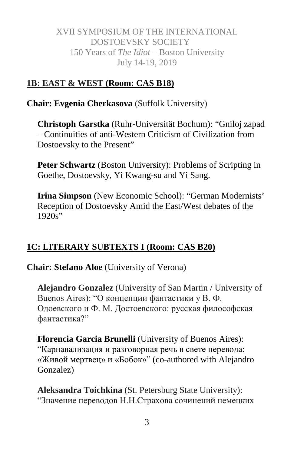# **1B: EAST & WEST (Room: CAS B18)**

**Chair: Evgenia Cherkasova** (Suffolk University)

**Christoph Garstka** (Ruhr-Universität Bochum): "Gniloj zapad – Continuities of anti-Western Criticism of Civilization from Dostoevsky to the Present"

**Peter Schwartz** (Boston University): Problems of Scripting in Goethe, Dostoevsky, Yi Kwang-su and Yi Sang.

**Irina Simpson** (New Economic School): "German Modernists' Reception of Dostoevsky Amid the East/West debates of the 1920s"

# **1C: LITERARY SUBTEXTS I (Room: CAS B20)**

**Chair: Stefano Aloe** (University of Verona)

**Alejandro Gonzalez** (University of San Martin / University of Buenos Aires): "О концепции фантастики у В. Ф. Одоевского и Ф. М. Достоевского: русская философская фантастика?"

**Florencia Garcia Brunelli** (University of Buenos Aires): "Карнавализация и разговорная речь в свете перевода: «Живой мертвец» и «Бобок»" (co-authored with Alejandro Gonzalez)

**Aleksandra Toichkina** (St. Petersburg State University): "Значение переводов Н.Н.Страхова сочинений немецких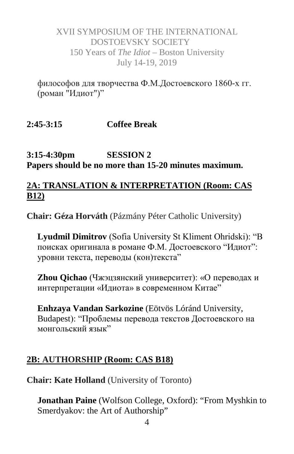философов для творчества Ф.М.Достоевского 1860-х гг. (роман "Идиот")"

#### **2:45-3:15 Coffee Break**

#### **3:15-4:30pm SESSION 2 Papers should be no more than 15-20 minutes maximum.**

#### **2A: TRANSLATION & INTERPRETATION (Room: CAS B12)**

**Chair: Géza Horváth** (Pázmány Péter Catholic University)

**Lyudmil Dimitrov** (Sofia University St Kliment Ohridski): "В поисках оригинала в романе Ф.М. Достоевского "Идиот": уровни текста, переводы (кон)текста"

**Zhou Qichao** (Чжэцзянский университет): «О переводах и интерпретации «Идиота» в современном Китае"

**Enhzaya Vandan Sarkozine** (Eötvös Lóránd University, Budapest): "Проблемы перевода текстов Достоевского на монгольский язык"

#### **2B: AUTHORSHIP (Room: CAS B18)**

**Chair: Kate Holland** (University of Toronto)

**Jonathan Paine** (Wolfson College, Oxford): "From Myshkin to Smerdyakov: the Art of Authorship"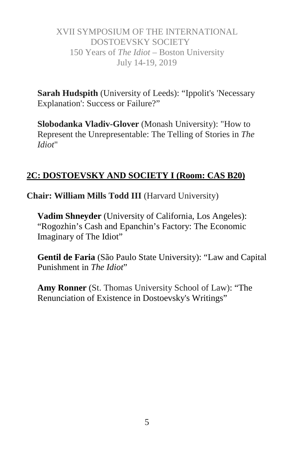**Sarah Hudspith** (University of Leeds): "Ippolit's 'Necessary Explanation': Success or Failure?"

**Slobodanka Vladiv-Glover** (Monash University): "How to Represent the Unrepresentable: The Telling of Stories in *The Idiot*"

# **2C: DOSTOEVSKY AND SOCIETY I (Room: CAS B20)**

**Chair: William Mills Todd III** (Harvard University)

**Vadim Shneyder** (University of California, Los Angeles): "Rogozhin's Cash and Epanchin's Factory: The Economic Imaginary of The Idiot"

**Gentil de Faria** (São Paulo State University): "Law and Capital Punishment in *The Idiot*"

**Amy Ronner** (St. Thomas University School of Law): "The Renunciation of Existence in Dostoevsky's Writings"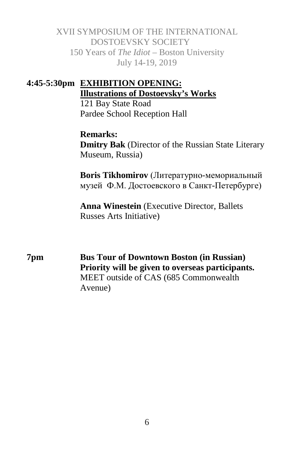# **4:45-5:30pm EXHIBITION OPENING: Illustrations of Dostoevsky's Works**

121 Bay State Road Pardee School Reception Hall

**Remarks: Dmitry Bak** (Director of the Russian State Literary Museum, Russia)

**Boris Tikhomirov** (Литературно-мемориальный музей Ф.М. Достоевского в Санкт-Петербурге)

**Anna Winestein** (Executive Director, Ballets Russes Arts Initiative)

**7pm Bus Tour of Downtown Boston (in Russian) Priority will be given to overseas participants.** MEET outside of CAS (685 Commonwealth Avenue)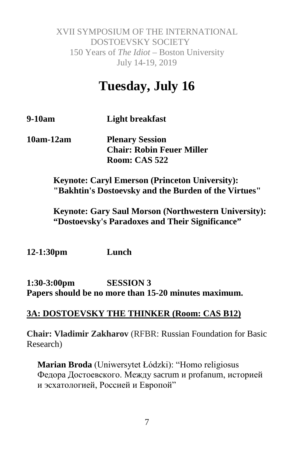# **Tuesday, July 16**

**9-10am Light breakfast**

**10am-12am Plenary Session Chair: Robin Feuer Miller Room: CAS 522**

> **Keynote: Caryl Emerson (Princeton University): "Bakhtin's Dostoevsky and the Burden of the Virtues"**

**Keynote: Gary Saul Morson (Northwestern University): "Dostoevsky's Paradoxes and Their Significance"**

**12-1:30pm Lunch**

**1:30-3:00pm SESSION 3 Papers should be no more than 15-20 minutes maximum.**

#### **3A: DOSTOEVSKY THE THINKER (Room: CAS B12)**

**Chair: Vladimir Zakharov** (RFBR: Russian Foundation for Basic Research)

**Marian Broda** (Uniwersytet Łódzki): "Homo religiosus Федора Достоевского. Между sacrum и profanum, историей и эсхатологией, Россией и Европой"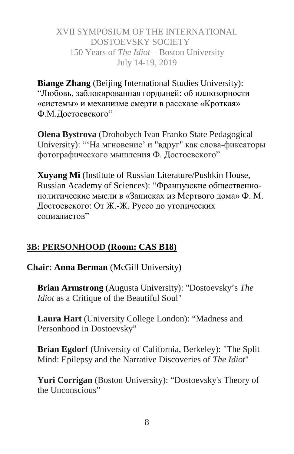**Biange Zhang** (Beijing International Studies University): "Любовь, заблокированная гордыней: об иллюзорности «системы» и механизме смерти в рассказе «Кроткая» Ф.М.Достоевского"

**Olena Bystrova** (Drohobych Ivan Franko State Pedagogical University): "'На мгновение' и "вдруг" как слова-фиксаторы фотографического мышления Ф. Достоевского"

**Xuyang Mi** (Institute of Russian Literature/Pushkin House, Russian Academy of Sciences): "Французские общественнополитические мысли в «Записках из Мертвого дома» Ф. М. Достоевского: От Ж.-Ж. Руссо до утопических социалистов"

# **3B: PERSONHOOD (Room: CAS B18)**

# **Chair: Anna Berman** (McGill University)

**Brian Armstrong** (Augusta University): "Dostoevsky's *The Idiot* as a Critique of the Beautiful Soul"

**Laura Hart** (University College London): "Madness and Personhood in Dostoevsky"

**Brian Egdorf** (University of California, Berkeley): "The Split Mind: Epilepsy and the Narrative Discoveries of *The Idiot*"

**Yuri Corrigan** (Boston University): "Dostoevsky's Theory of the Unconscious"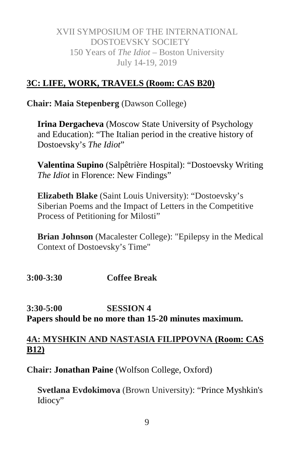# **3C: LIFE, WORK, TRAVELS (Room: CAS B20)**

**Chair: Maia Stepenberg** (Dawson College)

**Irina Dergacheva** (Moscow State University of Psychology and Education): "The Italian period in the creative history of Dostoevsky's *The Idiot*"

**Valentina Supino** (Salpêtrière Hospital): "Dostoevsky Writing *The Idiot* in Florence: New Findings"

**Elizabeth Blake** (Saint Louis University): "Dostoevsky's Siberian Poems and the Impact of Letters in the Competitive Process of Petitioning for Milosti"

**Brian Johnson** (Macalester College): "Epilepsy in the Medical Context of Dostoevsky's Time"

**3:00-3:30 Coffee Break**

**3:30-5:00 SESSION 4 Papers should be no more than 15-20 minutes maximum.**

# **4A: MYSHKIN AND NASTASIA FILIPPOVNA (Room: CAS B12)**

**Chair: Jonathan Paine** (Wolfson College, Oxford)

**Svetlana Evdokimova** (Brown University): "Prince Myshkin's Idiocy"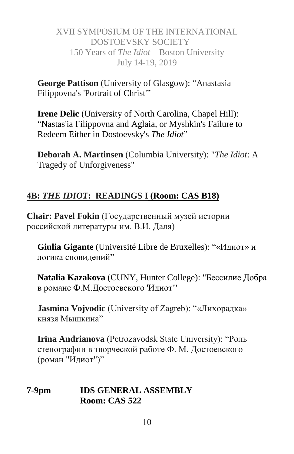**George Pattison** (University of Glasgow): "Anastasia Filippovna's 'Portrait of Christ'"

**Irene Delic** (University of North Carolina, Chapel Hill): "Nastas'ia Filippovna and Aglaia, or Myshkin's Failure to Redeem Either in Dostoevsky's *The Idiot*"

**Deborah A. Martinsen** (Columbia University): "*The Idiot*: A Tragedy of Unforgiveness"

# **4B:** *THE IDIOT***: READINGS I (Room: CAS B18)**

**Chair: Pavel Fokin** (Государственный музей истории российской литературы им. В.И. Даля)

**Giulia Gigante** (Université Libre de Bruxelles): "«Идиот» и логика сновидений"

**Natalia Kazakova** (CUNY, Hunter College): "Бессилие Добра в романе Ф.М.Достоевского 'Идиот'"

**Jasmina Vojvodic** (University of Zagreb): "«Лихорадка» князя Мышкина"

**Irina Andrianova** (Petrozavodsk State University): "Роль стенографии в творческой работе Ф. М. Достоевского (роман "Идиот")"

#### **7-9pm IDS GENERAL ASSEMBLY Room: CAS 522**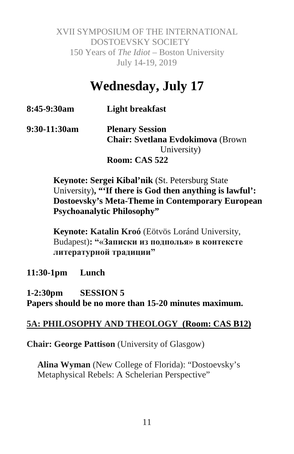# **Wednesday, July 17**

| 8:45-9:30am | <b>Light breakfast</b> |
|-------------|------------------------|
|-------------|------------------------|

#### **9:30-11:30am Plenary Session Chair: Svetlana Evdokimova** (Brown University) **Room: CAS 522**

**Keynote: Sergei Kibal'nik** (St. Petersburg State University)**, "'If there is God then anything is lawful': Dostoevsky's Meta-Theme in Contemporary European Psychoanalytic Philosophy"**

**Keynote: Katalin Kroó** (Eötvös Loránd University, Budapest)**: "«Записки из подполья» в контексте литературной традиции"**

**11:30-1pm Lunch**

**1-2:30pm SESSION 5 Papers should be no more than 15-20 minutes maximum.**

# **5A: PHILOSOPHY AND THEOLOGY (Room: CAS B12)**

**Chair: George Pattison** (University of Glasgow)

**Alina Wyman** (New College of Florida): "Dostoevsky's Metaphysical Rebels: A Schelerian Perspective"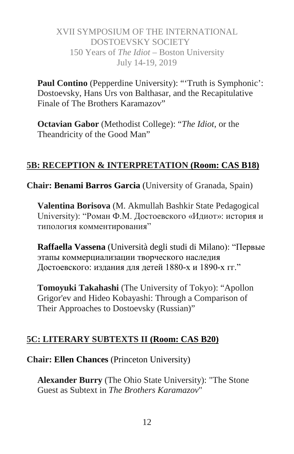Paul Contino (Pepperdine University): "Truth is Symphonic': Dostoevsky, Hans Urs von Balthasar, and the Recapitulative Finale of The Brothers Karamazov"

**Octavian Gabor** (Methodist College): "*The Idiot*, or the Theandricity of the Good Man"

#### **5B: RECEPTION & INTERPRETATION (Room: CAS B18)**

**Chair: Benami Barros Garcia** (University of Granada, Spain)

**Valentina Borisova** (M. Akmullah Bashkir State Pedagogical University): "Роман Ф.М. Достоевского «Идиот»: история и типология комментирования"

**Raffaella Vassena** (Università degli studi di Milano): "Первые этапы коммерциализации творческого наследия Достоевского: издания для детей 1880-х и 1890-х гг."

**Tomoyuki Takahashi** (The University of Tokyo): "Apollon Grigor'ev and Hideo Kobayashi: Through a Comparison of Their Approaches to Dostoevsky (Russian)"

#### **5C: LITERARY SUBTEXTS II (Room: CAS B20)**

**Chair: Ellen Chances** (Princeton University)

**Alexander Burry** (The Ohio State University): "The Stone Guest as Subtext in *The Brothers Karamazov*"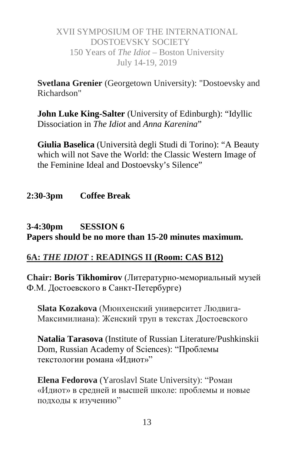**Svetlana Grenier** (Georgetown University): "Dostoevsky and Richardson"

**John Luke King-Salter** (University of Edinburgh): "Idyllic Dissociation in *The Idiot* and *Anna Karenina*"

**Giulia Baselica** (Università degli Studi di Torino): "A Beauty which will not Save the World: the Classic Western Image of the Feminine Ideal and Dostoevsky's Silence"

**2:30-3pm Coffee Break**

# **3-4:30pm SESSION 6 Papers should be no more than 15-20 minutes maximum.**

# **6A:** *THE IDIOT* **: READINGS II (Room: CAS B12)**

**Chair: Boris Tikhomirov** (Литературно-мемориальный музей Ф.М. Достоевского в Санкт-Петербурге)

**Slata Kozakova** (Мюнхенский университет Людвига-Максимилиана): Женский труп в текстах Достоевского

**Natalia Tarasova** (Institute of Russian Literature/Pushkinskii Dom, Russian Academy of Sciences): "Проблемы текстологии романа «Идиот»"

**Elena Fedorova** (Yaroslavl State University): "Роман «Идиот» в средней и высшей школе: проблемы и новые подходы к изучению"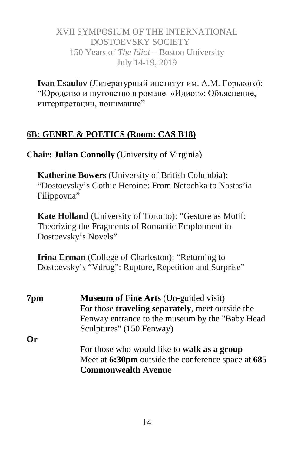**Ivan Esaulov** (Литературный институт им. А.М. Горького): "Юродство и шутовство в романе «Идиот»: Объяснение, интерпретации, понимание"

# **6B: GENRE & POETICS (Room: CAS B18)**

**Chair: Julian Connolly** (University of Virginia)

**Katherine Bowers** (University of British Columbia): "Dostoevsky's Gothic Heroine: From Netochka to Nastas'ia Filippovna"

**Kate Holland** (University of Toronto): "Gesture as Motif: Theorizing the Fragments of Romantic Emplotment in Dostoevsky's Novels"

**Irina Erman** (College of Charleston): "Returning to Dostoevsky's "Vdrug": Rupture, Repetition and Surprise"

| 7pm       | <b>Museum of Fine Arts (Un-guided visit)</b>             |
|-----------|----------------------------------------------------------|
|           | For those <b>traveling separately</b> , meet outside the |
|           | Fenway entrance to the museum by the "Baby Head"         |
|           | Sculptures" (150 Fenway)                                 |
| <b>Or</b> |                                                          |
|           | For those who would like to <b>walk as a group</b>       |
|           | Meet at 6:30pm outside the conference space at 685       |
|           | <b>Commonwealth Avenue</b>                               |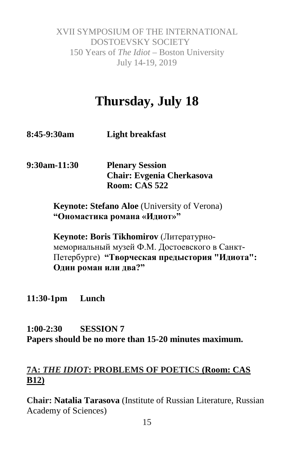# **Thursday, July 18**

**8:45-9:30am Light breakfast**

**9:30am-11:30 Plenary Session Chair: Evgenia Cherkasova Room: CAS 522**

> **Keynote: Stefano Aloe** (University of Verona) **"Ономастика романа «Идиот»"**

**Keynote: Boris Tikhomirov** (Литературномемориальный музей Ф.М. Достоевского в Санкт-Петербурге) **"Творческая предыстория "Идиота": Один роман или два?"**

**11:30-1pm Lunch**

# **1:00-2:30 SESSION 7 Papers should be no more than 15-20 minutes maximum.**

# **7A:** *THE IDIOT***: PROBLEMS OF POETIC**S **(Room: CAS B12)**

**Chair: Natalia Tarasova** (Institute of Russian Literature, Russian Academy of Sciences)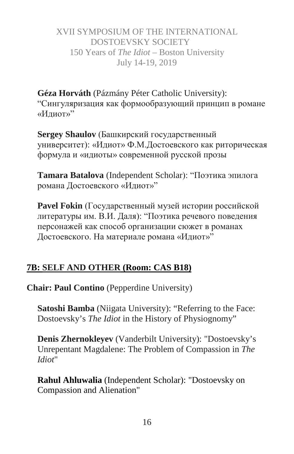**Géza Horváth** (Pázmány Péter Catholic University): "Сингуляризация как формообразующий принцип в романе «Идиот»"

**Sergey Shaulov** (Башкирский государственный университет): «Идиот» Ф.М.Достоевского как риторическая формула и «идиоты» современной русской прозы

**Tamara Batalova** (Independent Scholar): "Поэтика эпилога романа Достоевского «Идиот»"

**Pavel Fokin** (Государственный музей истории российской литературы им. В.И. Даля): "Поэтика речевого поведения персонажей как способ организации сюжет в романах Достоевского. На материале романа «Идиот»"

# **7B: SELF AND OTHER (Room: CAS B18)**

**Chair: Paul Contino** (Pepperdine University)

**Satoshi Bamba** (Niigata University): "Referring to the Face: Dostoevsky's *The Idiot* in the History of Physiognomy"

**Denis Zhernokleyev** (Vanderbilt University): "Dostoevsky's Unrepentant Magdalene: The Problem of Compassion in *The Idiot*"

**Rahul Ahluwalia** (Independent Scholar): "Dostoevsky on Compassion and Alienation"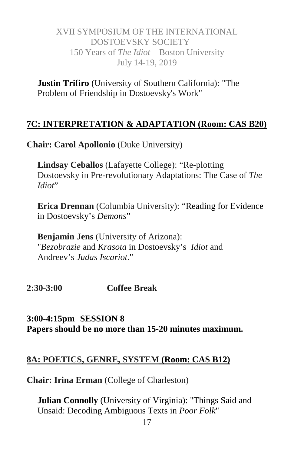**Justin Trifiro** (University of Southern California): "The Problem of Friendship in Dostoevsky's Work"

#### **7C: INTERPRETATION & ADAPTATION (Room: CAS B20)**

**Chair: Carol Apollonio** (Duke University)

**Lindsay Ceballos** (Lafayette College): "Re-plotting Dostoevsky in Pre-revolutionary Adaptations: The Case of *The Idiot*"

**Erica Drennan** (Columbia University): "Reading for Evidence in Dostoevsky's *Demons*"

**Benjamin Jens** (University of Arizona): "*Bezobrazie* and *Krasota* in Dostoevsky's *Idiot* and Andreev's *Judas Iscariot.*"

**2:30-3:00 Coffee Break**

**3:00-4:15pm SESSION 8 Papers should be no more than 15-20 minutes maximum.**

#### **8A: POETICS, GENRE, SYSTEM (Room: CAS B12)**

**Chair: Irina Erman** (College of Charleston)

**Julian Connolly** (University of Virginia): "Things Said and Unsaid: Decoding Ambiguous Texts in *Poor Folk*"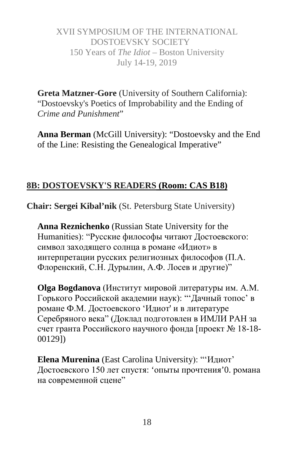**Greta Matzner-Gore** (University of Southern California): "Dostoevsky's Poetics of Improbability and the Ending of *Crime and Punishment*"

**Anna Berman** (McGill University): "Dostoevsky and the End of the Line: Resisting the Genealogical Imperative"

# **8B: DOSTOEVSKY'S READERS (Room: CAS B18)**

**Chair: Sergei Kibal'nik** (St. Petersburg State University)

**Anna Reznichenko** (Russian State University for the Humanities): "Русские философы читают Достоевского: символ заходящего солнца в романе «Идиот» в интерпретации русских религиозных философов (П.А. Флоренский, С.Н. Дурылин, А.Ф. Лосев и другие)"

**Olga Bogdanova** (Институт мировой литературы им. А.М. Горького Российской академии наук): "'Дачный топос' в романе Ф.М. Достоевского 'Идиот' и в литературе Серебряного века" (Доклад подготовлен в ИМЛИ РАН за счет гранта Российского научного фонда [проект № 18-18- 00129])

**Elena Murenina** (East Carolina University): "'Идиот' Достоевского 150 лет спустя: 'опыты прочтения'0. романа на современной сцене"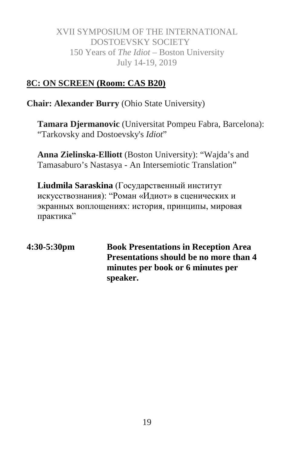#### **8C: ON SCREEN (Room: CAS B20)**

**Chair: Alexander Burry** (Ohio State University)

**Tamara Djermanovic** (Universitat Pompeu Fabra, Barcelona): "Tarkovsky and Dostoevsky's *Idiot*"

**Anna Zielinska-Elliott** (Boston University): "Wajda's and Tamasaburo's Nastasya - An Intersemiotic Translation"

**Liudmila Saraskina** (Государственный институт искусствознания): "Роман «Идиот» в сценических и экранных воплощениях: история, принципы, мировая практика"

**4:30-5:30pm Book Presentations in Reception Area Presentations should be no more than 4 minutes per book or 6 minutes per speaker.**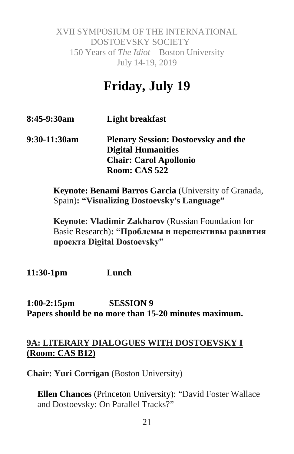# **Friday, July 19**

- **8:45-9:30am Light breakfast**
- **9:30-11:30am Plenary Session: Dostoevsky and the Digital Humanities Chair: Carol Apollonio Room: CAS 522**

**Keynote: Benami Barros Garcia** (University of Granada, Spain)**: "Visualizing Dostoevsky's Language"**

**Keynote: Vladimir Zakharov** (Russian Foundation for Basic Research)**: "Проблемы и перспективы развития проекта Digital Dostoevsky"**

**11:30-1pm Lunch**

**1:00-2:15pm SESSION 9 Papers should be no more than 15-20 minutes maximum.**

#### **9A: LITERARY DIALOGUES WITH DOSTOEVSKY I (Room: CAS B12)**

**Chair: Yuri Corrigan** (Boston University)

**Ellen Chances** (Princeton University): "David Foster Wallace and Dostoevsky: On Parallel Tracks?"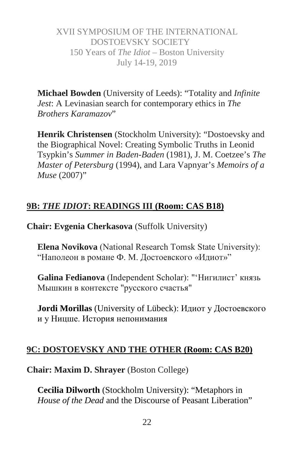**Michael Bowden** (University of Leeds): "Totality and *Infinite Jest*: A Levinasian search for contemporary ethics in *The Brothers Karamazov*"

**Henrik Christensen** (Stockholm University): "Dostoevsky and the Biographical Novel: Creating Symbolic Truths in Leonid Tsypkin's *Summer in Baden-Baden* (1981), J. M. Coetzee's *The Master of Petersburg* (1994), and Lara Vapnyar's *Memoirs of a Muse* (2007)"

# **9B:** *THE IDIOT***: READINGS III (Room: CAS B18)**

**Chair: Evgenia Cherkasova** (Suffolk University)

**Elena Novikova** (National Research Тomsk State University): "Наполеон в романе Ф. М. Достоевского «Идиот»"

**Galina Fedianova** (Independent Scholar): "'Нигилист' князь Мышкин в контексте "русского счастья"

**Jordi Morillas** (University of Lübeck): Идиот у Достоевского и у Ницше. История непонимания

# **9C: DOSTOEVSKY AND THE OTHER (Room: CAS B20)**

**Chair: Maxim D. Shrayer** (Boston College)

**Cecilia Dilworth** (Stockholm University): "Metaphors in *House of the Dead* and the Discourse of Peasant Liberation"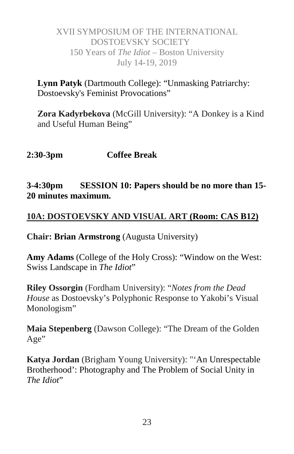**Lynn Patyk** (Dartmouth College): "Unmasking Patriarchy: Dostoevsky's Feminist Provocations"

**Zora Kadyrbekova** (McGill University): "A Donkey is a Kind and Useful Human Being"

# **2:30-3pm Coffee Break**

#### **3-4:30pm SESSION 10: Papers should be no more than 15- 20 minutes maximum.**

#### **10A: DOSTOEVSKY AND VISUAL ART (Room: CAS B12)**

**Chair: Brian Armstrong** (Augusta University)

**Amy Adams** (College of the Holy Cross): "Window on the West: Swiss Landscape in *The Idiot*"

**Riley Ossorgin** (Fordham University): "*Notes from the Dead House* as Dostoevsky's Polyphonic Response to Yakobi's Visual Monologism"

**Maia Stepenberg** (Dawson College): "The Dream of the Golden Age"

**Katya Jordan** (Brigham Young University): "'An Unrespectable Brotherhood': Photography and The Problem of Social Unity in *The Idiot*"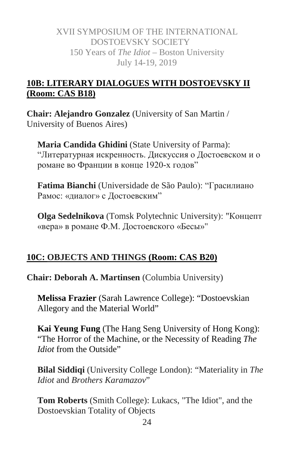# **10B: LITERARY DIALOGUES WITH DOSTOEVSKY II (Room: CAS B18)**

**Chair: Alejandro Gonzalez** (University of San Martin / University of Buenos Aires)

**Maria Candida Ghidini** (State University of Parma): "Литературная искренность. Дискуссия о Достоевском и о романе во Франции в конце 1920-х годов"

**Fatima Bianchi** (Universidade de São Paulo): "Грасилиано Рамос: «диалог» с Достоевским"

**Olga Sedelnikova** (Tomsk Polytechnic University): "Концепт «вера» в романе Ф.М. Достоевского «Бесы»"

# **10C: OBJECTS AND THINGS (Room: CAS B20)**

**Chair: Deborah A. Martinsen** (Columbia University)

**Melissa Frazier** (Sarah Lawrence College): "Dostoevskian Allegory and the Material World"

**Kai Yeung Fung** (The Hang Seng University of Hong Kong): "The Horror of the Machine, or the Necessity of Reading *The Idiot* from the Outside"

**Bilal Siddiqi** (University College London): "Materiality in *The Idiot* and *Brothers Karamazov*"

**Tom Roberts** (Smith College): Lukacs, "The Idiot", and the Dostoevskian Totality of Objects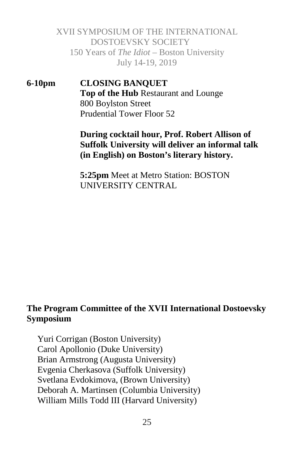**6-10pm CLOSING BANQUET Top of the Hub** Restaurant and Lounge 800 Boylston Street Prudential Tower Floor 52

#### **During cocktail hour, Prof. Robert Allison of Suffolk University will deliver an informal talk (in English) on Boston's literary history.**

**5:25pm** Meet at Metro Station: BOSTON UNIVERSITY CENTRAL

#### **The Program Committee of the XVII International Dostoevsky Symposium**

Yuri Corrigan (Boston University) Carol Apollonio (Duke University) Brian Armstrong (Augusta University) Evgenia Cherkasova (Suffolk University) Svetlana Evdokimova, (Brown University) Deborah A. Martinsen (Columbia University) William Mills Todd III (Harvard University)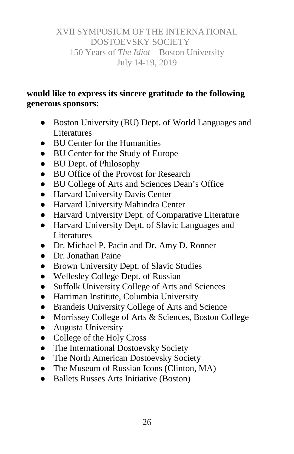# **would like to express its sincere gratitude to the following generous sponsors**:

- Boston University (BU) Dept. of World Languages and **Literatures**
- BU Center for the Humanities
- BU Center for the Study of Europe
- BU Dept. of Philosophy
- BU Office of the Provost for Research
- BU College of Arts and Sciences Dean's Office
- Harvard University Davis Center
- Harvard University Mahindra Center
- Harvard University Dept. of Comparative Literature
- Harvard University Dept. of Slavic Languages and Literatures
- Dr. Michael P. Pacin and Dr. Amy D. Ronner
- Dr. Jonathan Paine
- Brown University Dept. of Slavic Studies
- Wellesley College Dept. of Russian
- Suffolk University College of Arts and Sciences
- Harriman Institute, Columbia University
- Brandeis University College of Arts and Science
- Morrissey College of Arts & Sciences, Boston College
- Augusta University
- College of the Holy Cross
- The International Dostoevsky Society
- The North American Dostoevsky Society
- The Museum of Russian Icons (Clinton, MA)
- Ballets Russes Arts Initiative (Boston)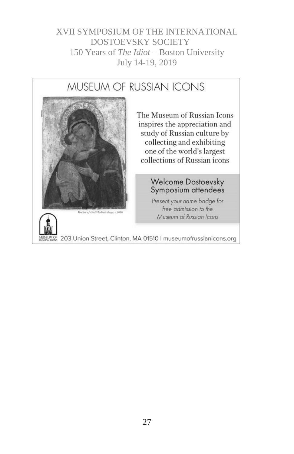# MUSEUM OF RUSSIAN ICONS



The Museum of Russian Icons inspires the appreciation and study of Russian culture by collecting and exhibiting one of the world's largest collections of Russian icons

# Welcome Dostoevsky<br>Symposium attendees

Present your name badge for free admission to the Museum of Russian Icons

203 Union Street, Clinton, MA 01510 | museumofrussianicons.org